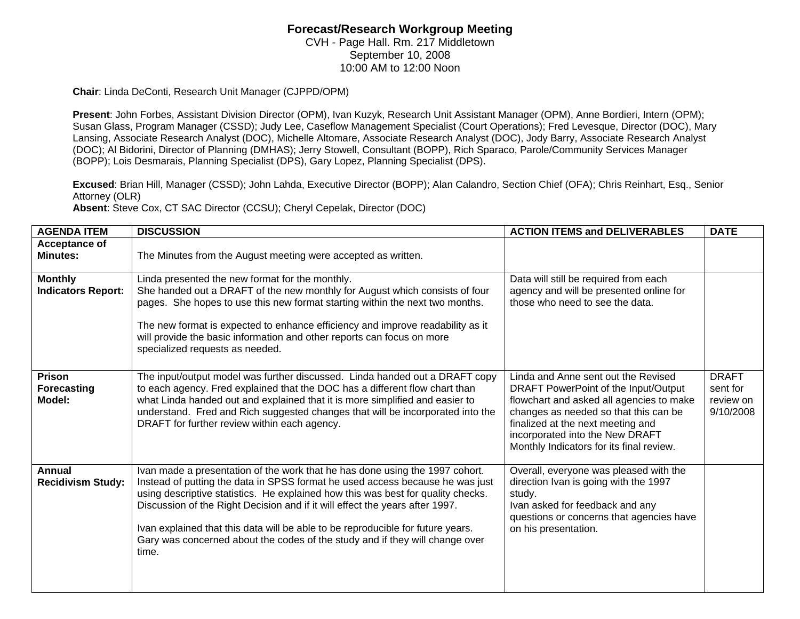## **Forecast/Research Workgroup Meeting**  CVH - Page Hall. Rm. 217 Middletown

September 10, 2008 10:00 AM to 12:00 Noon

**Chair**: Linda DeConti, Research Unit Manager (CJPPD/OPM)

**Present**: John Forbes, Assistant Division Director (OPM), Ivan Kuzyk, Research Unit Assistant Manager (OPM), Anne Bordieri, Intern (OPM); Susan Glass, Program Manager (CSSD); Judy Lee, Caseflow Management Specialist (Court Operations); Fred Levesque, Director (DOC), Mary Lansing, Associate Research Analyst (DOC), Michelle Altomare, Associate Research Analyst (DOC), Jody Barry, Associate Research Analyst (DOC); Al Bidorini, Director of Planning (DMHAS); Jerry Stowell, Consultant (BOPP), Rich Sparaco, Parole/Community Services Manager (BOPP); Lois Desmarais, Planning Specialist (DPS), Gary Lopez, Planning Specialist (DPS).

**Excused**: Brian Hill, Manager (CSSD); John Lahda, Executive Director (BOPP); Alan Calandro, Section Chief (OFA); Chris Reinhart, Esq., Senior Attorney (OLR)

**Absent**: Steve Cox, CT SAC Director (CCSU); Cheryl Cepelak, Director (DOC)

| <b>AGENDA ITEM</b>                            | <b>DISCUSSION</b>                                                                                                                                                                                                                                                                                                                                                                                                                                                                                             | <b>ACTION ITEMS and DELIVERABLES</b>                                                                                                                                                                                                                                                 | <b>DATE</b>                                        |
|-----------------------------------------------|---------------------------------------------------------------------------------------------------------------------------------------------------------------------------------------------------------------------------------------------------------------------------------------------------------------------------------------------------------------------------------------------------------------------------------------------------------------------------------------------------------------|--------------------------------------------------------------------------------------------------------------------------------------------------------------------------------------------------------------------------------------------------------------------------------------|----------------------------------------------------|
| Acceptance of<br><b>Minutes:</b>              | The Minutes from the August meeting were accepted as written.                                                                                                                                                                                                                                                                                                                                                                                                                                                 |                                                                                                                                                                                                                                                                                      |                                                    |
| <b>Monthly</b><br><b>Indicators Report:</b>   | Linda presented the new format for the monthly.<br>She handed out a DRAFT of the new monthly for August which consists of four<br>pages. She hopes to use this new format starting within the next two months.<br>The new format is expected to enhance efficiency and improve readability as it<br>will provide the basic information and other reports can focus on more<br>specialized requests as needed.                                                                                                 | Data will still be required from each<br>agency and will be presented online for<br>those who need to see the data.                                                                                                                                                                  |                                                    |
| <b>Prison</b><br><b>Forecasting</b><br>Model: | The input/output model was further discussed. Linda handed out a DRAFT copy<br>to each agency. Fred explained that the DOC has a different flow chart than<br>what Linda handed out and explained that it is more simplified and easier to<br>understand. Fred and Rich suggested changes that will be incorporated into the<br>DRAFT for further review within each agency.                                                                                                                                  | Linda and Anne sent out the Revised<br>DRAFT PowerPoint of the Input/Output<br>flowchart and asked all agencies to make<br>changes as needed so that this can be<br>finalized at the next meeting and<br>incorporated into the New DRAFT<br>Monthly Indicators for its final review. | <b>DRAFT</b><br>sent for<br>review on<br>9/10/2008 |
| Annual<br><b>Recidivism Study:</b>            | Ivan made a presentation of the work that he has done using the 1997 cohort.<br>Instead of putting the data in SPSS format he used access because he was just<br>using descriptive statistics. He explained how this was best for quality checks.<br>Discussion of the Right Decision and if it will effect the years after 1997.<br>Ivan explained that this data will be able to be reproducible for future years.<br>Gary was concerned about the codes of the study and if they will change over<br>time. | Overall, everyone was pleased with the<br>direction Ivan is going with the 1997<br>study.<br>Ivan asked for feedback and any<br>questions or concerns that agencies have<br>on his presentation.                                                                                     |                                                    |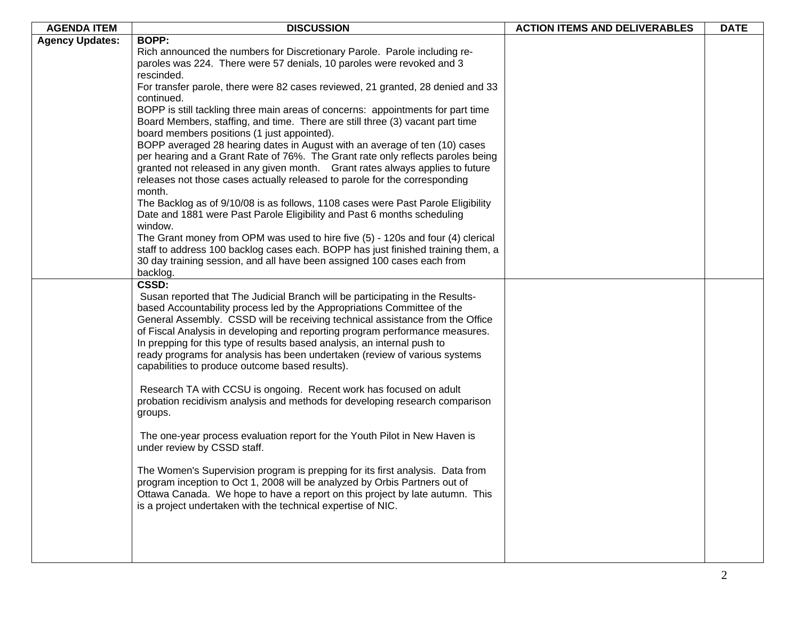| <b>AGENDA ITEM</b>     | <b>DISCUSSION</b>                                                                                                                                                   | <b>ACTION ITEMS AND DELIVERABLES</b> | <b>DATE</b> |
|------------------------|---------------------------------------------------------------------------------------------------------------------------------------------------------------------|--------------------------------------|-------------|
| <b>Agency Updates:</b> | <b>BOPP:</b>                                                                                                                                                        |                                      |             |
|                        | Rich announced the numbers for Discretionary Parole. Parole including re-                                                                                           |                                      |             |
|                        | paroles was 224. There were 57 denials, 10 paroles were revoked and 3                                                                                               |                                      |             |
|                        | rescinded.                                                                                                                                                          |                                      |             |
|                        | For transfer parole, there were 82 cases reviewed, 21 granted, 28 denied and 33                                                                                     |                                      |             |
|                        | continued.                                                                                                                                                          |                                      |             |
|                        | BOPP is still tackling three main areas of concerns: appointments for part time                                                                                     |                                      |             |
|                        | Board Members, staffing, and time. There are still three (3) vacant part time                                                                                       |                                      |             |
|                        | board members positions (1 just appointed).                                                                                                                         |                                      |             |
|                        | BOPP averaged 28 hearing dates in August with an average of ten (10) cases                                                                                          |                                      |             |
|                        | per hearing and a Grant Rate of 76%. The Grant rate only reflects paroles being                                                                                     |                                      |             |
|                        | granted not released in any given month. Grant rates always applies to future                                                                                       |                                      |             |
|                        | releases not those cases actually released to parole for the corresponding                                                                                          |                                      |             |
|                        | month.                                                                                                                                                              |                                      |             |
|                        | The Backlog as of 9/10/08 is as follows, 1108 cases were Past Parole Eligibility                                                                                    |                                      |             |
|                        | Date and 1881 were Past Parole Eligibility and Past 6 months scheduling                                                                                             |                                      |             |
|                        | window.                                                                                                                                                             |                                      |             |
|                        | The Grant money from OPM was used to hire five (5) - 120s and four (4) clerical<br>staff to address 100 backlog cases each. BOPP has just finished training them, a |                                      |             |
|                        | 30 day training session, and all have been assigned 100 cases each from                                                                                             |                                      |             |
|                        | backlog.                                                                                                                                                            |                                      |             |
|                        | CSSD:                                                                                                                                                               |                                      |             |
|                        | Susan reported that The Judicial Branch will be participating in the Results-                                                                                       |                                      |             |
|                        | based Accountability process led by the Appropriations Committee of the                                                                                             |                                      |             |
|                        | General Assembly. CSSD will be receiving technical assistance from the Office                                                                                       |                                      |             |
|                        | of Fiscal Analysis in developing and reporting program performance measures.                                                                                        |                                      |             |
|                        | In prepping for this type of results based analysis, an internal push to                                                                                            |                                      |             |
|                        | ready programs for analysis has been undertaken (review of various systems                                                                                          |                                      |             |
|                        | capabilities to produce outcome based results).                                                                                                                     |                                      |             |
|                        |                                                                                                                                                                     |                                      |             |
|                        | Research TA with CCSU is ongoing. Recent work has focused on adult                                                                                                  |                                      |             |
|                        | probation recidivism analysis and methods for developing research comparison                                                                                        |                                      |             |
|                        | groups.                                                                                                                                                             |                                      |             |
|                        |                                                                                                                                                                     |                                      |             |
|                        | The one-year process evaluation report for the Youth Pilot in New Haven is                                                                                          |                                      |             |
|                        | under review by CSSD staff.                                                                                                                                         |                                      |             |
|                        |                                                                                                                                                                     |                                      |             |
|                        | The Women's Supervision program is prepping for its first analysis. Data from                                                                                       |                                      |             |
|                        | program inception to Oct 1, 2008 will be analyzed by Orbis Partners out of                                                                                          |                                      |             |
|                        | Ottawa Canada. We hope to have a report on this project by late autumn. This<br>is a project undertaken with the technical expertise of NIC.                        |                                      |             |
|                        |                                                                                                                                                                     |                                      |             |
|                        |                                                                                                                                                                     |                                      |             |
|                        |                                                                                                                                                                     |                                      |             |
|                        |                                                                                                                                                                     |                                      |             |
|                        |                                                                                                                                                                     |                                      |             |